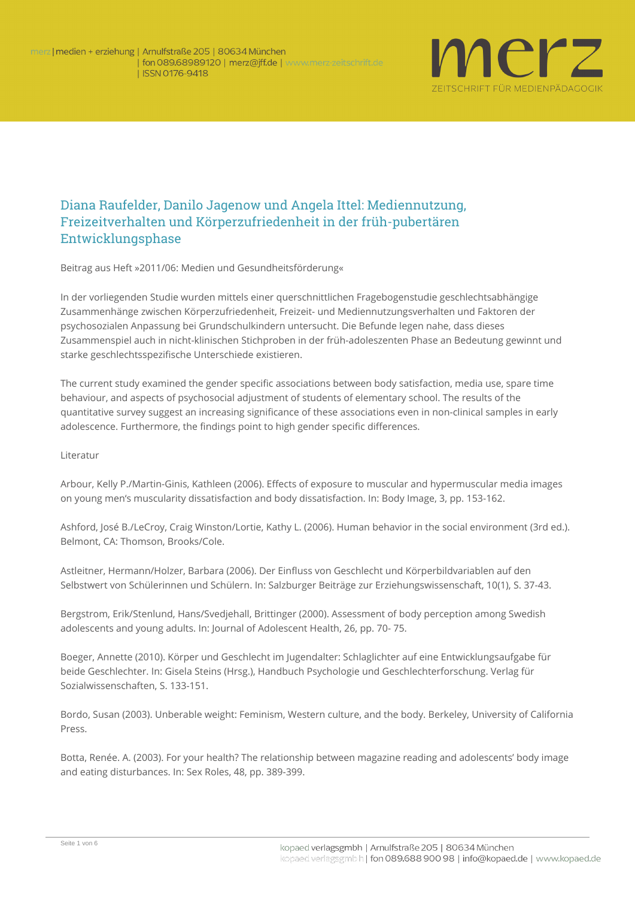

## Diana Raufelder, Danilo Jagenow und Angela Ittel: Mediennutzung, Freizeitverhalten und Körperzufriedenheit in der früh-pubertären Entwicklungsphase

**Beitrag aus Heft »2011/06: Medien und Gesundheitsförderung«**

In der vorliegenden Studie wurden mittels einer querschnittlichen Fragebogenstudie geschlechtsabhängige Zusammenhänge zwischen Körperzufriedenheit, Freizeit- und Mediennutzungsverhalten und Faktoren der psychosozialen Anpassung bei Grundschulkindern untersucht. Die Befunde legen nahe, dass dieses Zusammenspiel auch in nicht-klinischen Stichproben in der früh-adoleszenten Phase an Bedeutung gewinnt und starke geschlechtsspezifische Unterschiede existieren.

The current study examined the gender specific associations between body satisfaction, media use, spare time behaviour, and aspects of psychosocial adjustment of students of elementary school. The results of the quantitative survey suggest an increasing significance of these associations even in non-clinical samples in early adolescence. Furthermore, the findings point to high gender specific differences.

## **Literatur**

Arbour, Kelly P./Martin-Ginis, Kathleen (2006). Effects of exposure to muscular and hypermuscular media images on young men's muscularity dissatisfaction and body dissatisfaction. In: Body Image, 3, pp. 153-162.

Ashford, José B./LeCroy, Craig Winston/Lortie, Kathy L. (2006). Human behavior in the social environment (3rd ed.). Belmont, CA: Thomson, Brooks/Cole.

Astleitner, Hermann/Holzer, Barbara (2006). Der Einfluss von Geschlecht und Körperbildvariablen auf den Selbstwert von Schülerinnen und Schülern. In: Salzburger Beiträge zur Erziehungswissenschaft, 10(1), S. 37-43.

Bergstrom, Erik/Stenlund, Hans/Svedjehall, Brittinger (2000). Assessment of body perception among Swedish adolescents and young adults. In: Journal of Adolescent Health, 26, pp. 70- 75.

Boeger, Annette (2010). Körper und Geschlecht im Jugendalter: Schlaglichter auf eine Entwicklungsaufgabe für beide Geschlechter. In: Gisela Steins (Hrsg.), Handbuch Psychologie und Geschlechterforschung. Verlag für Sozialwissenschaften, S. 133-151.

Bordo, Susan (2003). Unberable weight: Feminism, Western culture, and the body. Berkeley, University of California Press.

Botta, Renée. A. (2003). For your health? The relationship between magazine reading and adolescents' body image and eating disturbances. In: Sex Roles, 48, pp. 389-399.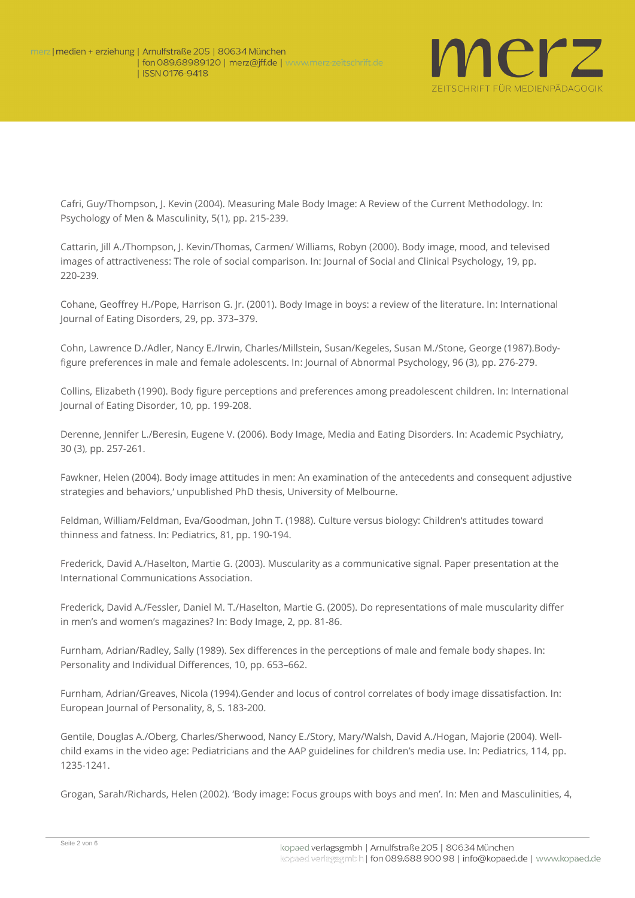

Cafri, Guy/Thompson, J. Kevin (2004). Measuring Male Body Image: A Review of the Current Methodology. In: Psychology of Men & Masculinity, 5(1), pp. 215-239.

Cattarin, Jill A./Thompson, J. Kevin/Thomas, Carmen/ Williams, Robyn (2000). Body image, mood, and televised images of attractiveness: The role of social comparison. In: Journal of Social and Clinical Psychology, 19, pp. 220-239.

Cohane, Geoffrey H./Pope, Harrison G. Jr. (2001). Body Image in boys: a review of the literature. In: International Journal of Eating Disorders, 29, pp. 373–379.

Cohn, Lawrence D./Adler, Nancy E./Irwin, Charles/Millstein, Susan/Kegeles, Susan M./Stone, George (1987).Bodyfigure preferences in male and female adolescents. In: Journal of Abnormal Psychology, 96 (3), pp. 276-279.

Collins, Elizabeth (1990). Body figure perceptions and preferences among preadolescent children. In: International Journal of Eating Disorder, 10, pp. 199-208.

Derenne, Jennifer L./Beresin, Eugene V. (2006). Body Image, Media and Eating Disorders. In: Academic Psychiatry, 30 (3), pp. 257-261.

Fawkner, Helen (2004). Body image attitudes in men: An examination of the antecedents and consequent adjustive strategies and behaviors,' unpublished PhD thesis, University of Melbourne.

Feldman, William/Feldman, Eva/Goodman, John T. (1988). Culture versus biology: Children's attitudes toward thinness and fatness. In: Pediatrics, 81, pp. 190-194.

Frederick, David A./Haselton, Martie G. (2003). Muscularity as a communicative signal. Paper presentation at the International Communications Association.

Frederick, David A./Fessler, Daniel M. T./Haselton, Martie G. (2005). Do representations of male muscularity differ in men's and women's magazines? In: Body Image, 2, pp. 81-86.

Furnham, Adrian/Radley, Sally (1989). Sex differences in the perceptions of male and female body shapes. In: Personality and Individual Differences, 10, pp. 653–662.

Furnham, Adrian/Greaves, Nicola (1994).Gender and locus of control correlates of body image dissatisfaction. In: European Journal of Personality, 8, S. 183-200.

Gentile, Douglas A./Oberg, Charles/Sherwood, Nancy E./Story, Mary/Walsh, David A./Hogan, Majorie (2004). Wellchild exams in the video age: Pediatricians and the AAP guidelines for children's media use. In: Pediatrics, 114, pp. 1235-1241.

Grogan, Sarah/Richards, Helen (2002). 'Body image: Focus groups with boys and men'. In: Men and Masculinities, 4,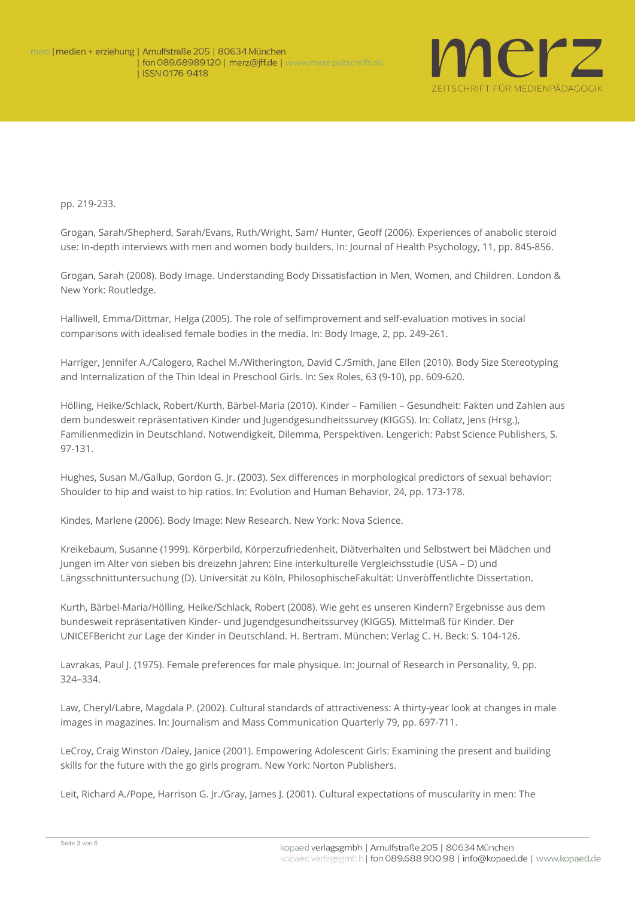

pp. 219-233.

Grogan, Sarah/Shepherd, Sarah/Evans, Ruth/Wright, Sam/ Hunter, Geoff (2006). Experiences of anabolic steroid use: In-depth interviews with men and women body builders. In: Journal of Health Psychology, 11, pp. 845-856.

Grogan, Sarah (2008). Body Image. Understanding Body Dissatisfaction in Men, Women, and Children. London & New York: Routledge.

Halliwell, Emma/Dittmar, Helga (2005). The role of selfimprovement and self-evaluation motives in social comparisons with idealised female bodies in the media. In: Body Image, 2, pp. 249-261.

Harriger, Jennifer A./Calogero, Rachel M./Witherington, David C./Smith, Jane Ellen (2010). Body Size Stereotyping and Internalization of the Thin Ideal in Preschool Girls. In: Sex Roles, 63 (9-10), pp. 609-620.

Hölling, Heike/Schlack, Robert/Kurth, Bärbel-Maria (2010). Kinder – Familien – Gesundheit: Fakten und Zahlen aus dem bundesweit repräsentativen Kinder und Jugendgesundheitssurvey (KIGGS). In: Collatz, Jens (Hrsg.), Familienmedizin in Deutschland. Notwendigkeit, Dilemma, Perspektiven. Lengerich: Pabst Science Publishers, S. 97-131.

Hughes, Susan M./Gallup, Gordon G. Jr. (2003). Sex differences in morphological predictors of sexual behavior: Shoulder to hip and waist to hip ratios. In: Evolution and Human Behavior, 24, pp. 173-178.

Kindes, Marlene (2006). Body Image: New Research. New York: Nova Science.

Kreikebaum, Susanne (1999). Körperbild, Körperzufriedenheit, Diätverhalten und Selbstwert bei Mädchen und Jungen im Alter von sieben bis dreizehn Jahren: Eine interkulturelle Vergleichsstudie (USA – D) und Längsschnittuntersuchung (D). Universität zu Köln, PhilosophischeFakultät: Unveröffentlichte Dissertation.

Kurth, Bärbel-Maria/Hölling, Heike/Schlack, Robert (2008). Wie geht es unseren Kindern? Ergebnisse aus dem bundesweit repräsentativen Kinder- und Jugendgesundheitssurvey (KIGGS). Mittelmaß für Kinder. Der UNICEFBericht zur Lage der Kinder in Deutschland. H. Bertram. München: Verlag C. H. Beck: S. 104-126.

Lavrakas, Paul J. (1975). Female preferences for male physique. In: Journal of Research in Personality, 9, pp. 324–334.

Law, Cheryl/Labre, Magdala P. (2002). Cultural standards of attractiveness: A thirty-year look at changes in male images in magazines. In: Journalism and Mass Communication Quarterly 79, pp. 697-711.

LeCroy, Craig Winston /Daley, Janice (2001). Empowering Adolescent Girls: Examining the present and building skills for the future with the go girls program. New York: Norton Publishers.

Leit, Richard A./Pope, Harrison G. Jr./Gray, James J. (2001). Cultural expectations of muscularity in men: The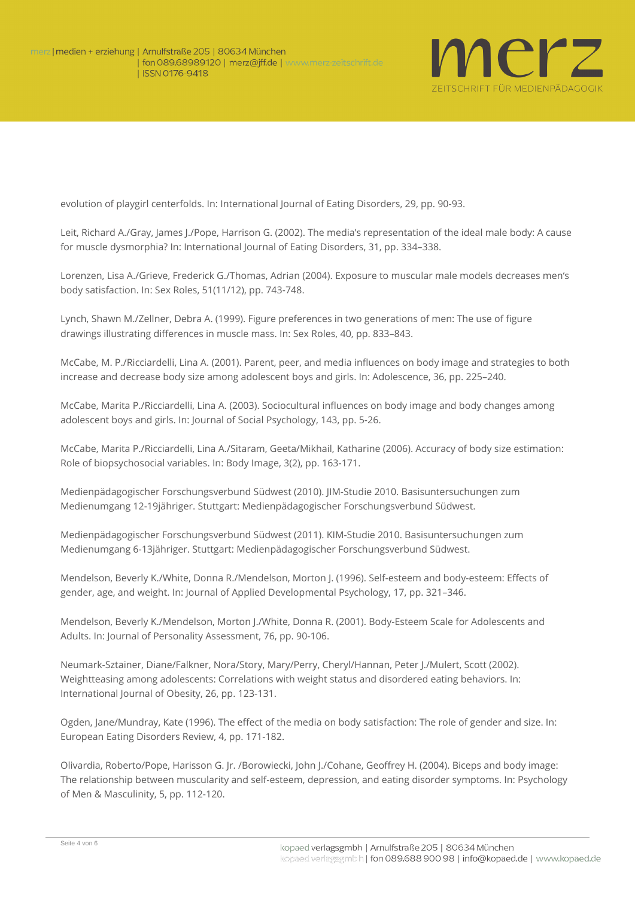

evolution of playgirl centerfolds. In: International Journal of Eating Disorders, 29, pp. 90-93.

Leit, Richard A./Gray, James J./Pope, Harrison G. (2002). The media's representation of the ideal male body: A cause for muscle dysmorphia? In: International Journal of Eating Disorders, 31, pp. 334–338.

Lorenzen, Lisa A./Grieve, Frederick G./Thomas, Adrian (2004). Exposure to muscular male models decreases men's body satisfaction. In: Sex Roles, 51(11/12), pp. 743-748.

Lynch, Shawn M./Zellner, Debra A. (1999). Figure preferences in two generations of men: The use of figure drawings illustrating differences in muscle mass. In: Sex Roles, 40, pp. 833–843.

McCabe, M. P./Ricciardelli, Lina A. (2001). Parent, peer, and media influences on body image and strategies to both increase and decrease body size among adolescent boys and girls. In: Adolescence, 36, pp. 225–240.

McCabe, Marita P./Ricciardelli, Lina A. (2003). Sociocultural influences on body image and body changes among adolescent boys and girls. In: Journal of Social Psychology, 143, pp. 5-26.

McCabe, Marita P./Ricciardelli, Lina A./Sitaram, Geeta/Mikhail, Katharine (2006). Accuracy of body size estimation: Role of biopsychosocial variables. In: Body Image, 3(2), pp. 163-171.

Medienpädagogischer Forschungsverbund Südwest (2010). JIM-Studie 2010. Basisuntersuchungen zum Medienumgang 12-19jähriger. Stuttgart: Medienpädagogischer Forschungsverbund Südwest.

Medienpädagogischer Forschungsverbund Südwest (2011). KIM-Studie 2010. Basisuntersuchungen zum Medienumgang 6-13jähriger. Stuttgart: Medienpädagogischer Forschungsverbund Südwest.

Mendelson, Beverly K./White, Donna R./Mendelson, Morton J. (1996). Self-esteem and body-esteem: Effects of gender, age, and weight. In: Journal of Applied Developmental Psychology, 17, pp. 321–346.

Mendelson, Beverly K./Mendelson, Morton J./White, Donna R. (2001). Body-Esteem Scale for Adolescents and Adults. In: Journal of Personality Assessment, 76, pp. 90-106.

Neumark-Sztainer, Diane/Falkner, Nora/Story, Mary/Perry, Cheryl/Hannan, Peter J./Mulert, Scott (2002). Weightteasing among adolescents: Correlations with weight status and disordered eating behaviors. In: International Journal of Obesity, 26, pp. 123-131.

Ogden, Jane/Mundray, Kate (1996). The effect of the media on body satisfaction: The role of gender and size. In: European Eating Disorders Review, 4, pp. 171-182.

Olivardia, Roberto/Pope, Harisson G. Jr. /Borowiecki, John J./Cohane, Geoffrey H. (2004). Biceps and body image: The relationship between muscularity and self-esteem, depression, and eating disorder symptoms. In: Psychology of Men & Masculinity, 5, pp. 112-120.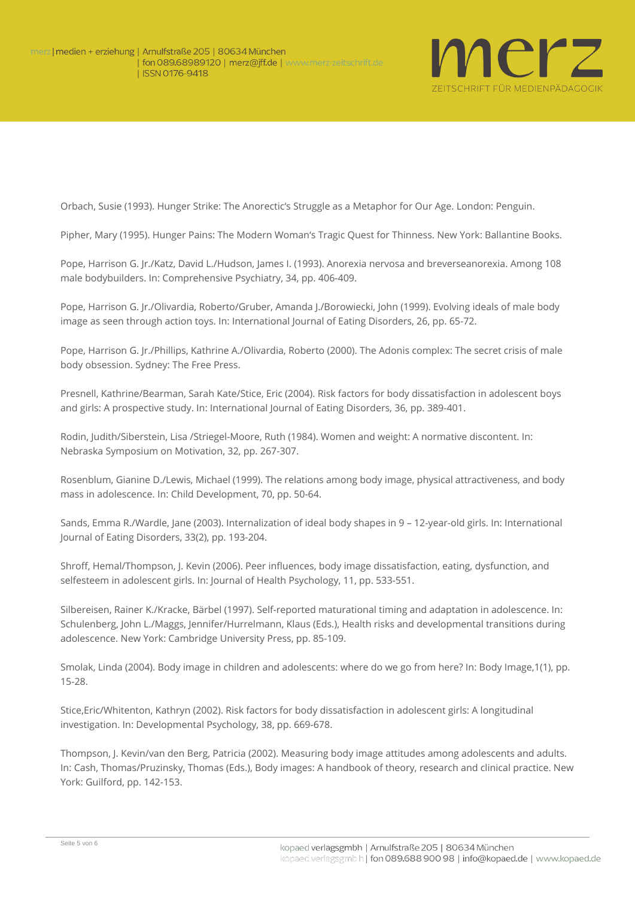

Orbach, Susie (1993). Hunger Strike: The Anorectic's Struggle as a Metaphor for Our Age. London: Penguin.

Pipher, Mary (1995). Hunger Pains: The Modern Woman's Tragic Quest for Thinness. New York: Ballantine Books.

Pope, Harrison G. Jr./Katz, David L./Hudson, James I. (1993). Anorexia nervosa and breverseanorexia. Among 108 male bodybuilders. In: Comprehensive Psychiatry, 34, pp. 406-409.

Pope, Harrison G. Jr./Olivardia, Roberto/Gruber, Amanda J./Borowiecki, John (1999). Evolving ideals of male body image as seen through action toys. In: International Journal of Eating Disorders, 26, pp. 65-72.

Pope, Harrison G. Jr./Phillips, Kathrine A./Olivardia, Roberto (2000). The Adonis complex: The secret crisis of male body obsession. Sydney: The Free Press.

Presnell, Kathrine/Bearman, Sarah Kate/Stice, Eric (2004). Risk factors for body dissatisfaction in adolescent boys and girls: A prospective study. In: International Journal of Eating Disorders, 36, pp. 389-401.

Rodin, Judith/Siberstein, Lisa /Striegel-Moore, Ruth (1984). Women and weight: A normative discontent. In: Nebraska Symposium on Motivation, 32, pp. 267-307.

Rosenblum, Gianine D./Lewis, Michael (1999). The relations among body image, physical attractiveness, and body mass in adolescence. In: Child Development, 70, pp. 50-64.

Sands, Emma R./Wardle, Jane (2003). Internalization of ideal body shapes in 9 – 12-year-old girls. In: International Journal of Eating Disorders, 33(2), pp. 193-204.

Shroff, Hemal/Thompson, J. Kevin (2006). Peer influences, body image dissatisfaction, eating, dysfunction, and selfesteem in adolescent girls. In: Journal of Health Psychology, 11, pp. 533-551.

Silbereisen, Rainer K./Kracke, Bärbel (1997). Self-reported maturational timing and adaptation in adolescence. In: Schulenberg, John L./Maggs, Jennifer/Hurrelmann, Klaus (Eds.), Health risks and developmental transitions during adolescence. New York: Cambridge University Press, pp. 85-109.

Smolak, Linda (2004). Body image in children and adolescents: where do we go from here? In: Body Image,1(1), pp. 15-28.

Stice,Eric/Whitenton, Kathryn (2002). Risk factors for body dissatisfaction in adolescent girls: A longitudinal investigation. In: Developmental Psychology, 38, pp. 669-678.

Thompson, J. Kevin/van den Berg, Patricia (2002). Measuring body image attitudes among adolescents and adults. In: Cash, Thomas/Pruzinsky, Thomas (Eds.), Body images: A handbook of theory, research and clinical practice. New York: Guilford, pp. 142-153.